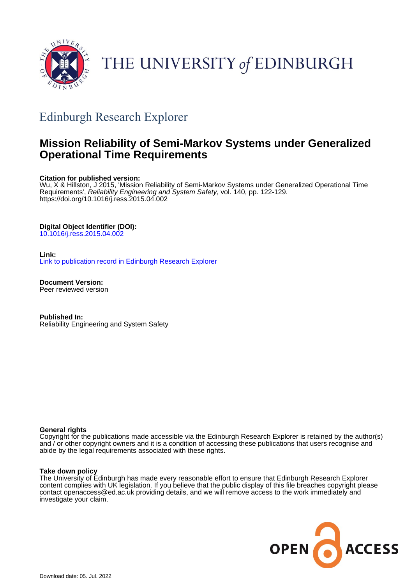

# THE UNIVERSITY of EDINBURGH

# Edinburgh Research Explorer

# **Mission Reliability of Semi-Markov Systems under Generalized Operational Time Requirements**

### **Citation for published version:**

Wu, X & Hillston, J 2015, 'Mission Reliability of Semi-Markov Systems under Generalized Operational Time Requirements', Reliability Engineering and System Safety, vol. 140, pp. 122-129. <https://doi.org/10.1016/j.ress.2015.04.002>

### **Digital Object Identifier (DOI):**

[10.1016/j.ress.2015.04.002](https://doi.org/10.1016/j.ress.2015.04.002)

# **Link:**

[Link to publication record in Edinburgh Research Explorer](https://www.research.ed.ac.uk/en/publications/26f61bb6-73de-4850-a803-c9cdb7d9ec74)

**Document Version:** Peer reviewed version

**Published In:** Reliability Engineering and System Safety

### **General rights**

Copyright for the publications made accessible via the Edinburgh Research Explorer is retained by the author(s) and / or other copyright owners and it is a condition of accessing these publications that users recognise and abide by the legal requirements associated with these rights.

### **Take down policy**

The University of Edinburgh has made every reasonable effort to ensure that Edinburgh Research Explorer content complies with UK legislation. If you believe that the public display of this file breaches copyright please contact openaccess@ed.ac.uk providing details, and we will remove access to the work immediately and investigate your claim.

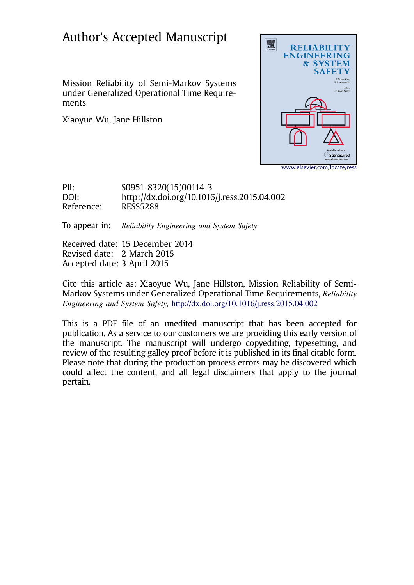# Author's Accepted Manuscript

Mission Reliability of Semi-Markov Systems under Generalized Operational Time Requirements

Xiaoyue Wu, Jane Hillston



PII: S0951-8320(15)00114-3 DOI:<http://dx.doi.org/10.1016/j.ress.2015.04.002> Reference: RESS5288

To appear in: Reliability Engineering and System Safety

Received date: 15 December 2014 Revised date: 2 March 2015 Accepted date: 3 April 2015

Cite this article as: Xiaoyue Wu, Jane Hillston, Mission Reliability of Semi-Markov Systems under Generalized Operational Time Requirements, Reliability Engineering and System Safety, <http://dx.doi.org/10.1016/j.ress.2015.04.002>

This is a PDF file of an unedited manuscript that has been accepted for publication. As a service to our customers we are providing this early version of the manuscript. The manuscript will undergo copyediting, typesetting, and review of the resulting galley proof before it is published in its final citable form. Please note that during the production process errors may be discovered which could affect the content, and all legal disclaimers that apply to the journal pertain.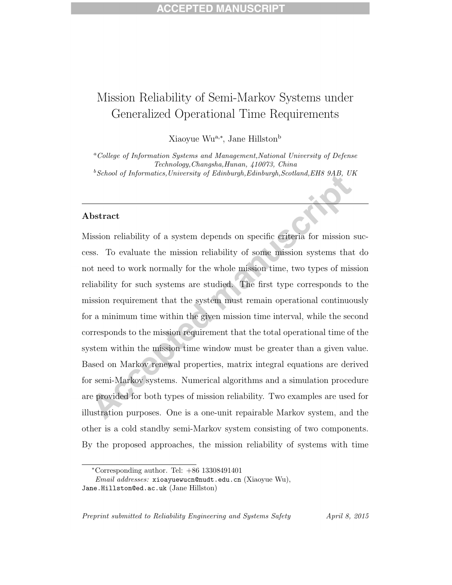# Mission Reliability of Semi-Markov Systems under Generalized Operational Time Requirements

Xiaoyue Wu<sup>a,∗</sup>, Jane Hillston<sup>b</sup>

<sup>a</sup>College of Information Systems and Management,National University of Defense Technology,Changsha,Hunan, 410073, China  $^{b}$ School of Informatics, University of Edinburgh, Edinburgh, Scotland, EH8 9AB, UK

### Abstract

Mission reliability of a system depends on specific criteria for mission success. To evaluate the mission reliability of some mission systems that do not need to work normally for the whole mission time, two types of mission reliability for such systems are studied. The first type corresponds to the mission requirement that the system must remain operational continuously for a minimum time within the given mission time interval, while the second corresponds to the mission requirement that the total operational time of the system within the mission time window must be greater than a given value. Based on Markov renewal properties, matrix integral equations are derived for semi-Markov systems. Numerical algorithms and a simulation procedure are provided for both types of mission reliability. Two examples are used for illustration purposes. One is a one-unit repairable Markov system, and the other is a cold standby semi-Markov system consisting of two components. By the proposed approaches, the mission reliability of systems with time

<sup>∗</sup>Corresponding author. Tel: +86 13308491401

Email addresses: xioayuewucn@nudt.edu.cn (Xiaoyue Wu), Jane.Hillston@ed.ac.uk (Jane Hillston)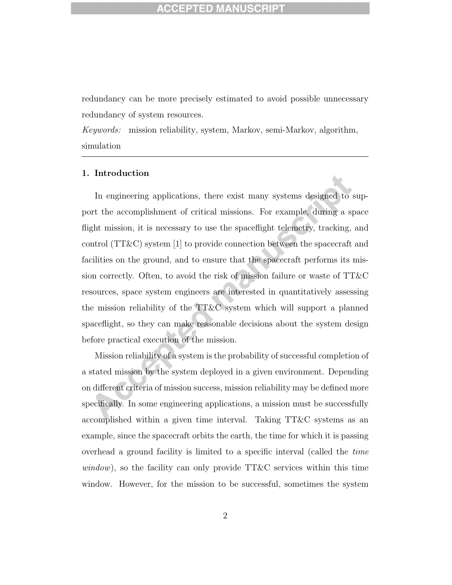redundancy can be more precisely estimated to avoid possible unnecessary redundancy of system resources.

Keywords: mission reliability, system, Markov, semi-Markov, algorithm, simulation

### 1. Introduction

In engineering applications, there exist many systems designed to support the accomplishment of critical missions. For example, during a space flight mission, it is necessary to use the spaceflight telemetry, tracking, and control (TT&C) system [1] to provide connection between the spacecraft and facilities on the ground, and to ensure that the spacecraft performs its mission correctly. Often, to avoid the risk of mission failure or waste of TT&C resources, space system engineers are interested in quantitatively assessing the mission reliability of the TT&C system which will support a planned spaceflight, so they can make reasonable decisions about the system design before practical execution of the mission.

Mission reliability of a system is the probability of successful completion of a stated mission by the system deployed in a given environment. Depending on different criteria of mission success, mission reliability may be defined more specifically. In some engineering applications, a mission must be successfully accomplished within a given time interval. Taking TT&C systems as an example, since the spacecraft orbits the earth, the time for which it is passing overhead a ground facility is limited to a specific interval (called the time  $window$ , so the facility can only provide TT&C services within this time window. However, for the mission to be successful, sometimes the system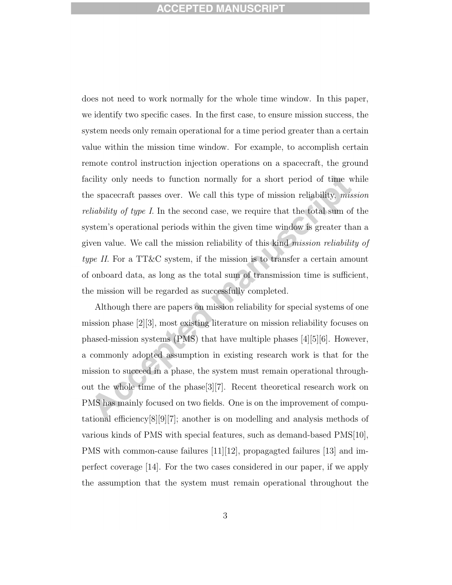does not need to work normally for the whole time window. In this paper, we identify two specific cases. In the first case, to ensure mission success, the system needs only remain operational for a time period greater than a certain value within the mission time window. For example, to accomplish certain remote control instruction injection operations on a spacecraft, the ground facility only needs to function normally for a short period of time while the spacecraft passes over. We call this type of mission reliability, mission reliability of type I. In the second case, we require that the total sum of the system's operational periods within the given time window is greater than a given value. We call the mission reliability of this kind mission reliability of type II. For a TT&C system, if the mission is to transfer a certain amount of onboard data, as long as the total sum of transmission time is sufficient, the mission will be regarded as successfully completed.

Although there are papers on mission reliability for special systems of one mission phase [2][3], most existing literature on mission reliability focuses on phased-mission systems (PMS) that have multiple phases [4][5][6]. However, a commonly adopted assumption in existing research work is that for the mission to succeed in a phase, the system must remain operational throughout the whole time of the phase[3][7]. Recent theoretical research work on PMS has mainly focused on two fields. One is on the improvement of computational efficiency[8][9][7]; another is on modelling and analysis methods of various kinds of PMS with special features, such as demand-based PMS[10], PMS with common-cause failures [11][12], propagagted failures [13] and imperfect coverage [14]. For the two cases considered in our paper, if we apply the assumption that the system must remain operational throughout the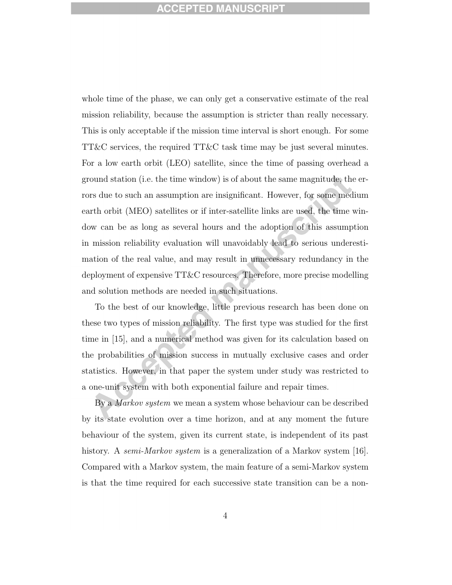whole time of the phase, we can only get a conservative estimate of the real mission reliability, because the assumption is stricter than really necessary. This is only acceptable if the mission time interval is short enough. For some TT&C services, the required TT&C task time may be just several minutes. For a low earth orbit (LEO) satellite, since the time of passing overhead a ground station (i.e. the time window) is of about the same magnitude, the errors due to such an assumption are insignificant. However, for some medium earth orbit (MEO) satellites or if inter-satellite links are used, the time window can be as long as several hours and the adoption of this assumption in mission reliability evaluation will unavoidably lead to serious underestimation of the real value, and may result in unnecessary redundancy in the deployment of expensive TT&C resources. Therefore, more precise modelling and solution methods are needed in such situations.

To the best of our knowledge, little previous research has been done on these two types of mission reliability. The first type was studied for the first time in [15], and a numerical method was given for its calculation based on the probabilities of mission success in mutually exclusive cases and order statistics. However, in that paper the system under study was restricted to a one-unit system with both exponential failure and repair times.

By a *Markov system* we mean a system whose behaviour can be described by its state evolution over a time horizon, and at any moment the future behaviour of the system, given its current state, is independent of its past history. A *semi-Markov system* is a generalization of a Markov system [16]. Compared with a Markov system, the main feature of a semi-Markov system is that the time required for each successive state transition can be a non-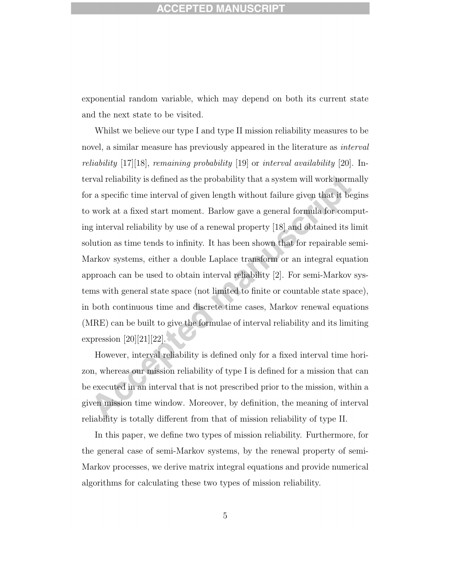exponential random variable, which may depend on both its current state and the next state to be visited.

Whilst we believe our type I and type II mission reliability measures to be novel, a similar measure has previously appeared in the literature as *interval* reliability  $[17][18]$ , remaining probability  $[19]$  or interval availability  $[20]$ . Interval reliability is defined as the probability that a system will work normally for a specific time interval of given length without failure given that it begins to work at a fixed start moment. Barlow gave a general formula for computing interval reliability by use of a renewal property [18] and obtained its limit solution as time tends to infinity. It has been shown that for repairable semi-Markov systems, either a double Laplace transform or an integral equation approach can be used to obtain interval reliability [2]. For semi-Markov systems with general state space (not limited to finite or countable state space), in both continuous time and discrete time cases, Markov renewal equations (MRE) can be built to give the formulae of interval reliability and its limiting expression  $[20][21][22]$ .

However, interval reliability is defined only for a fixed interval time horizon, whereas our mission reliability of type I is defined for a mission that can be executed in an interval that is not prescribed prior to the mission, within a given mission time window. Moreover, by definition, the meaning of interval reliability is totally different from that of mission reliability of type II.

In this paper, we define two types of mission reliability. Furthermore, for the general case of semi-Markov systems, by the renewal property of semi-Markov processes, we derive matrix integral equations and provide numerical algorithms for calculating these two types of mission reliability.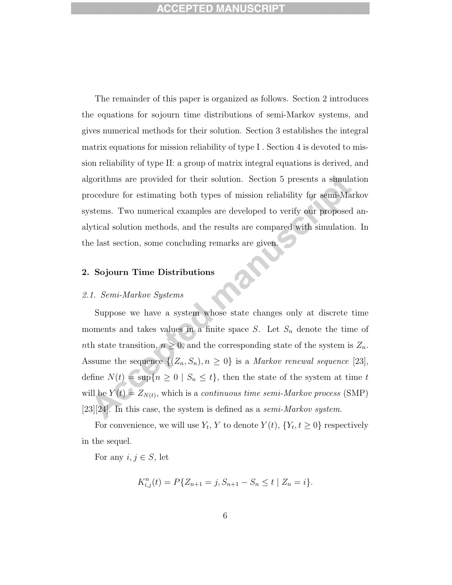The remainder of this paper is organized as follows. Section 2 introduces the equations for sojourn time distributions of semi-Markov systems, and gives numerical methods for their solution. Section 3 establishes the integral matrix equations for mission reliability of type I . Section 4 is devoted to mission reliability of type II: a group of matrix integral equations is derived, and algorithms are provided for their solution. Section 5 presents a simulation procedure for estimating both types of mission reliability for semi-Markov systems. Two numerical examples are developed to verify our proposed analytical solution methods, and the results are compared with simulation. In the last section, some concluding remarks are given.

# 2. Sojourn Time Distributions

### 2.1. Semi-Markov Systems

Suppose we have a system whose state changes only at discrete time moments and takes values in a finite space  $S$ . Let  $S_n$  denote the time of nth state transition,  $n \geq 0$ , and the corresponding state of the system is  $Z_n$ . Assume the sequence  $\{(Z_n, S_n), n \geq 0\}$  is a *Markov renewal sequence* [23], define  $N(t) = \sup\{n \ge 0 \mid S_n \le t\}$ , then the state of the system at time t will be  $Y(t) = Z_{N(t)}$ , which is a *continuous time semi-Markov process* (SMP)  $[23][24]$ . In this case, the system is defined as a *semi-Markov system*.

For convenience, we will use  $Y_t$ , Y to denote  $Y(t)$ ,  $\{Y_t, t \geq 0\}$  respectively in the sequel.

For any  $i, j \in S$ , let

$$
K_{i,j}^n(t) = P\{Z_{n+1} = j, S_{n+1} - S_n \le t \mid Z_n = i\}.
$$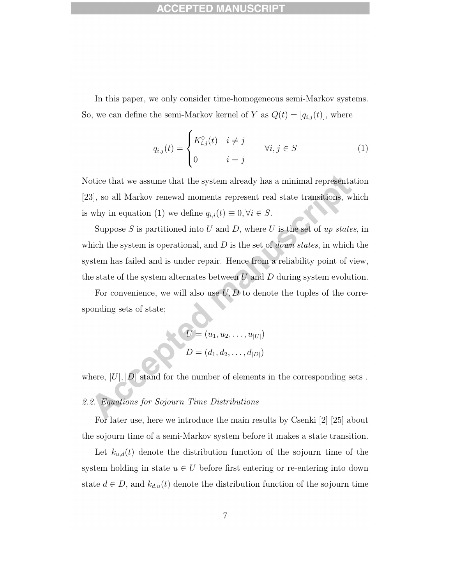In this paper, we only consider time-homogeneous semi-Markov systems. So, we can define the semi-Markov kernel of Y as  $Q(t) = [q_{i,j}(t)]$ , where

$$
q_{i,j}(t) = \begin{cases} K_{i,j}^0(t) & i \neq j \\ 0 & i = j \end{cases} \quad \forall i, j \in S \tag{1}
$$

Notice that we assume that the system already has a minimal representation [23], so all Markov renewal moments represent real state transitions, which is why in equation (1) we define  $q_{i,i}(t) \equiv 0, \forall i \in S$ .

Suppose  $S$  is partitioned into  $U$  and  $D$ , where  $U$  is the set of up states, in which the system is operational, and  $D$  is the set of *down states*, in which the system has failed and is under repair. Hence from a reliability point of view, the state of the system alternates between  $U$  and  $D$  during system evolution.

For convenience, we will also use  $U, D$  to denote the tuples of the corresponding sets of state;

$$
U = (u_1, u_2, \dots, u_{|U|})
$$
  

$$
D = (d_1, d_2, \dots, d_{|D|})
$$

where,  $|U|, |D|$  stand for the number of elements in the corresponding sets .

# 2.2. Equations for Sojourn Time Distributions

For later use, here we introduce the main results by Csenki [2] [25] about the sojourn time of a semi-Markov system before it makes a state transition.

Let  $k_{u,d}(t)$  denote the distribution function of the sojourn time of the system holding in state  $u \in U$  before first entering or re-entering into down state  $d \in D$ , and  $k_{d,u}(t)$  denote the distribution function of the sojourn time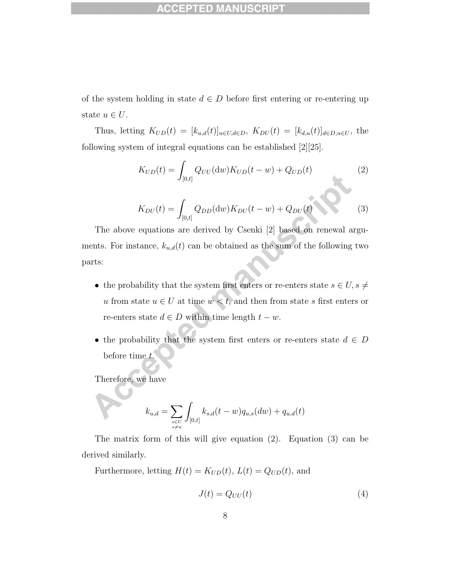of the system holding in state  $d \in D$  before first entering or re-entering up state  $u \in U$ .

Thus, letting  $K_{UD}(t) = [k_{u,d}(t)]_{u \in U, d \in D}$ ,  $K_{DU}(t) = [k_{d,u}(t)]_{d \in D, u \in U}$ , the following system of integral equations can be established [2][25].

$$
K_{UD}(t) = \int_{[0,t]} Q_{UU}(\mathrm{d}w) K_{UD}(t-w) + Q_{UD}(t)
$$
 (2)

$$
K_{DU}(t) = \int_{[0,t]} Q_{DD}(\mathrm{d}w) K_{DU}(t-w) + Q_{DU}(t)
$$
 (3)

The above equations are derived by Csenki [2] based on renewal arguments. For instance,  $k_{u,d}(t)$  can be obtained as the sum of the following two parts:

- $\bullet\,$  the probability that the system first enters or re-enters state  $s\in U, s\neq 0$  $u$  from state  $u \in U$  at time  $w < t,$  and then from state  $s$  first enters or re-enters state  $d \in D$  within time length  $t - w$ .
- the probability that the system first enters or re-enters state  $d \in D$ before time t.

Therefore, we have

$$
k_{u,d} = \sum_{\substack{s \in U \\ s \neq u}} \int_{[0,t]} k_{s,d}(t-w) q_{u,s}(dw) + q_{u,d}(t)
$$

The matrix form of this will give equation (2). Equation (3) can be derived similarly.

Furthermore, letting  $H(t) = K_{UD}(t)$ ,  $L(t) = Q_{UD}(t)$ , and

$$
J(t) = Q_{UU}(t) \tag{4}
$$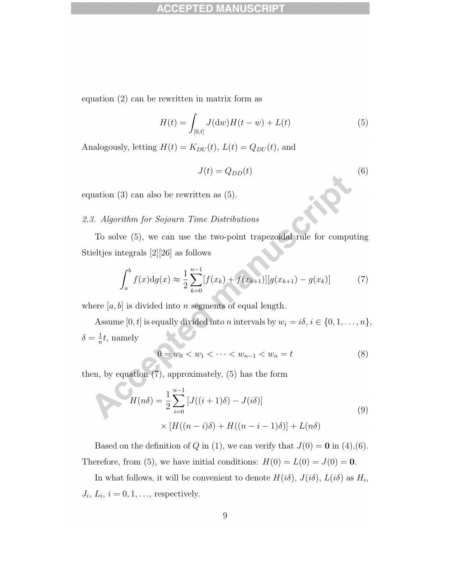## ACCEPTED M

equation (2) can be rewritten in matrix form as

$$
H(t) = \int_{[0,t]} J(dw)H(t-w) + L(t)
$$
 (5)

Analogously, letting  $H(t) = K_{DU}(t)$ ,  $L(t) = Q_{DU}(t)$ , and

$$
J(t) = Q_{DD}(t) \tag{6}
$$

equation (3) can also be rewritten as (5).

# 2.3. Algorithm for Sojourn Time Distributions

To solve (5), we can use the two-point trapezoidal rule for computing Stieltjes integrals [2][26] as follows

$$
\int_{a}^{b} f(x) \mathrm{d}g(x) \approx \frac{1}{2} \sum_{k=0}^{n-1} [f(x_k) + f(x_{k+1})][g(x_{k+1}) - g(x_k)] \tag{7}
$$

where  $[a, b]$  is divided into *n* segments of equal length.

Assume [0, t] is equally divided into n intervals by  $w_i = i\delta, i \in \{0, 1, \ldots, n\},$  $\delta = \frac{1}{n}$  $\frac{1}{n}t$ , namely

$$
0 = w_0 < w_1 < \dots < w_{n-1} < w_n = t \tag{8}
$$

then, by equation (7), approximately, (5) has the form

$$
H(n\delta) = \frac{1}{2} \sum_{i=0}^{n-1} \left[ J((i+1)\delta) - J(i\delta) \right]
$$
  
 
$$
\times \left[ H((n-i)\delta) + H((n-i-1)\delta) \right] + L(n\delta)
$$
 (9)

Based on the definition of Q in (1), we can verify that  $J(0) = 0$  in (4),(6). Therefore, from (5), we have initial conditions:  $H(0) = L(0) = J(0) = 0$ .

In what follows, it will be convenient to denote  $H(i\delta)$ ,  $J(i\delta)$ ,  $L(i\delta)$  as  $H_i$ ,  $J_i, L_i, i = 0, 1, \ldots$ , respectively.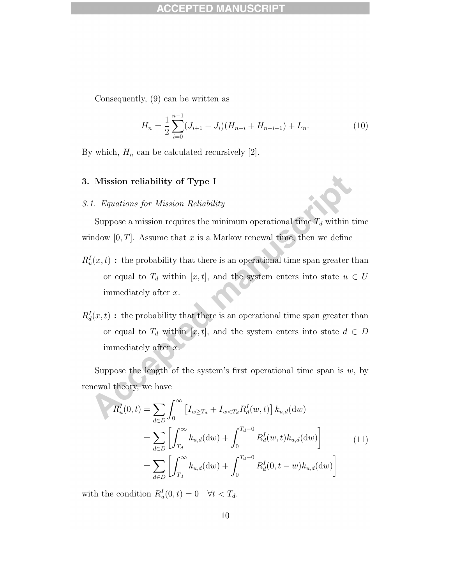## ACCEPTED MA

Consequently, (9) can be written as

$$
H_n = \frac{1}{2} \sum_{i=0}^{n-1} (J_{i+1} - J_i)(H_{n-i} + H_{n-i-1}) + L_n.
$$
 (10)

By which,  $H_n$  can be calculated recursively [2].

### 3. Mission reliability of Type I

### 3.1. Equations for Mission Reliability

Suppose a mission requires the minimum operational time  $T_d$  within time window  $[0, T]$ . Assume that x is a Markov renewal time, then we define

- $R_u^I(x,t)$ : the probability that there is an operational time span greater than or equal to  $T_d$  within [x, t], and the system enters into state  $u \in U$ immediately after x.
- $R_d^I(x,t)$ : the probability that there is an operational time span greater than or equal to  $T_d$  within [x, t], and the system enters into state  $d \in D$ immediately after x.

Suppose the length of the system's first operational time span is  $w$ , by renewal theory, we have

$$
R_u^I(0,t) = \sum_{d \in D} \int_0^\infty \left[ I_{w \ge T_d} + I_{w < T_d} R_d^I(w,t) \right] k_{u,d}(dw)
$$
\n
$$
= \sum_{d \in D} \left[ \int_{T_d}^\infty k_{u,d}(dw) + \int_0^{T_d - 0} R_d^I(w,t) k_{u,d}(dw) \right]
$$
\n
$$
= \sum_{d \in D} \left[ \int_{T_d}^\infty k_{u,d}(dw) + \int_0^{T_d - 0} R_d^I(0, t - w) k_{u,d}(dw) \right]
$$
\n(11)

with the condition  $R_u^I(0,t) = 0 \quad \forall t < T_d$ .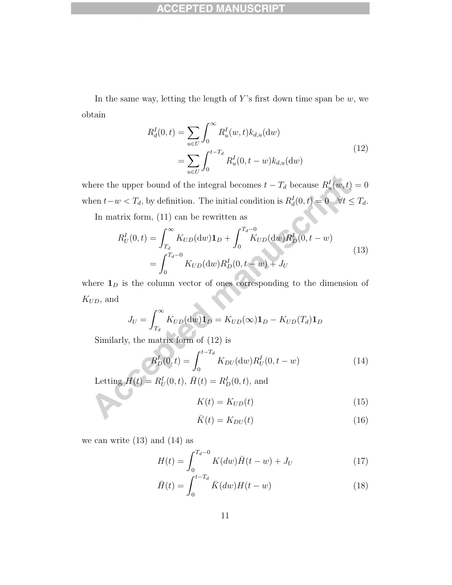#### **ACCEPTED MANUS** C

In the same way, letting the length of Y's first down time span be  $w$ , we obtain

$$
R_d^I(0, t) = \sum_{u \in U} \int_0^\infty R_u^I(w, t) k_{d, u}(\mathrm{d}w)
$$
  
= 
$$
\sum_{u \in U} \int_0^{t - T_d} R_u^I(0, t - w) k_{d, u}(\mathrm{d}w)
$$
 (12)

where the upper bound of the integral becomes  $t - T_d$  because  $R_u^I(w, t) = 0$ when  $t-w < T_d$ , by definition. The initial condition is  $R_d^I(0,t) = 0 \quad \forall t \le T_d$ .

In matrix form, (11) can be rewritten as

$$
R_U^I(0,t) = \int_{T_d}^{\infty} K_{UD}(\mathrm{d}w) \mathbf{1}_D + \int_0^{T_d - 0} K_{UD}(\mathrm{d}w) R_D^I(0, t - w)
$$
  
= 
$$
\int_0^{T_d - 0} K_{UD}(\mathrm{d}w) R_D^I(0, t - w) + J_U
$$
 (13)

where  $\mathbf{1}_D$  is the column vector of ones corresponding to the dimension of  $K_{UD},\, \mathrm{and}$ 

$$
J_U = \int_{T_d}^{\infty} K_{UD}(\mathrm{d}w)\mathbf{1}_D = K_{UD}(\infty)\mathbf{1}_D - K_{UD}(T_d)\mathbf{1}_D
$$

Similarly, the matrix form of (12) is

$$
R_D^I(0,t) = \int_0^{t - T_d} K_{DU}(\mathrm{d}w) R_U^I(0, t - w)
$$
\n(14)

Letting  $H(t) = R_U^I(0, t), \, \bar{H}(t) = R_D^I(0, t),$  and

$$
K(t) = K_{UD}(t) \tag{15}
$$

$$
\bar{K}(t) = K_{DU}(t) \tag{16}
$$

we can write  $(13)$  and  $(14)$  as

$$
H(t) = \int_0^{T_d - 0} K(dw)\bar{H}(t - w) + J_U
$$
\n(17)

$$
\bar{H}(t) = \int_0^{t - T_d} \bar{K}(dw)H(t - w)
$$
\n(18)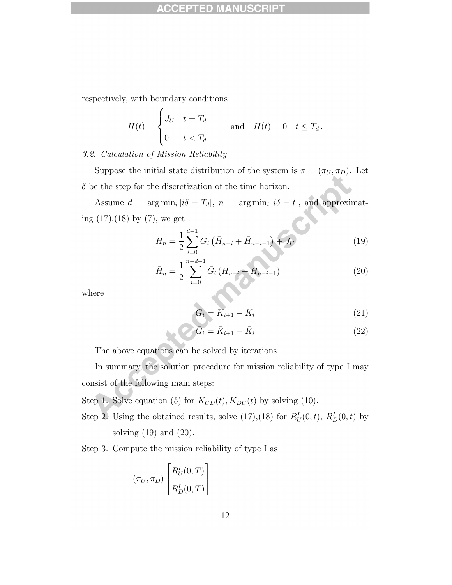## **ACCEPTED M**

respectively, with boundary conditions

 $\epsilon$ 

$$
H(t) = \begin{cases} J_U & t = T_d \\ 0 & t < T_d \end{cases} \quad \text{and} \quad \bar{H}(t) = 0 \quad t \le T_d.
$$

### 3.2. Calculation of Mission Reliability

Suppose the initial state distribution of the system is  $\pi = (\pi_U, \pi_D)$ . Let  $\delta$  be the step for the discretization of the time horizon.

Assume  $d = \arg \min_i |i\delta - T_d|, n = \arg \min_i |i\delta - t|,$  and approximating  $(17),(18)$  by  $(7)$ , we get :

$$
H_n = \frac{1}{2} \sum_{i=0}^{d-1} G_i \left( \bar{H}_{n-i} + \bar{H}_{n-i-1} \right) + J_U \tag{19}
$$

$$
\bar{H}_n = \frac{1}{2} \sum_{i=0}^{n-d-1} \bar{G}_i \left( H_{n-i} + H_{n-i-1} \right) \tag{20}
$$

where

$$
G_i = K_{i+1} - K_i \tag{21}
$$

$$
\widehat{G}_i = \bar{K}_{i+1} - \bar{K}_i \tag{22}
$$

The above equations can be solved by iterations.

In summary, the solution procedure for mission reliability of type I may consist of the following main steps:

Step 1. Solve equation (5) for  $K_{UD}(t)$ ,  $K_{DU}(t)$  by solving (10).

- Step 2. Using the obtained results, solve  $(17),(18)$  for  $R_U^I(0,t)$ ,  $R_D^I(0,t)$  by solving (19) and (20).
- Step 3. Compute the mission reliability of type I as

$$
(\pi_U, \pi_D) \begin{bmatrix} R_U^I(0, T) \\ R_D^I(0, T) \end{bmatrix}
$$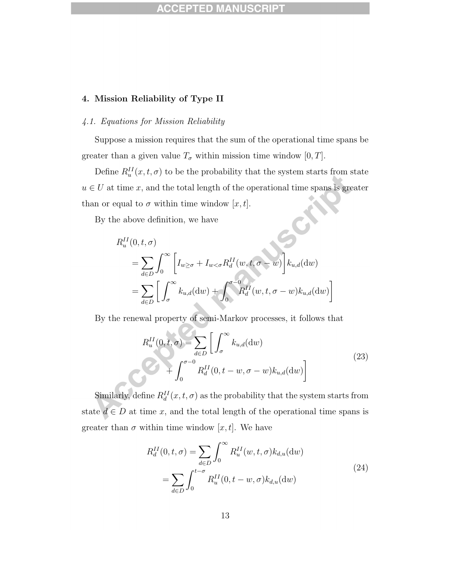### 4. Mission Reliability of Type II

### 4.1. Equations for Mission Reliability

Suppose a mission requires that the sum of the operational time spans be greater than a given value  $T_{\sigma}$  within mission time window [0, T].

Define  $R_u^{II}(x,t,\sigma)$  to be the probability that the system starts from state  $u \in U$  at time x, and the total length of the operational time spans is greater than or equal to  $\sigma$  within time window [x, t].

By the above definition, we have

$$
R_u^{II}(0, t, \sigma)
$$
  
= 
$$
\sum_{d \in D} \int_0^{\infty} \left[ I_{w \ge \sigma} + I_{w < \sigma} R_d^{II}(w, t, \sigma - w) \right] k_{u,d}(dw)
$$
  
= 
$$
\sum_{d \in D} \left[ \int_{\sigma}^{\infty} k_{u,d}(dw) + \int_0^{\sigma - 0} R_d^{II}(w, t, \sigma - w) k_{u,d}(dw) \right]
$$

By the renewal property of semi-Markov processes, it follows that

$$
R_u^{II}(0, t, \sigma) = \sum_{d \in D} \left[ \int_{\sigma}^{\infty} k_{u,d}(\mathrm{d}w) + \int_0^{\sigma - 0} R_d^{II}(0, t - w, \sigma - w) k_{u,d}(\mathrm{d}w) \right]
$$
(23)

Similarly, define  $R_d^{II}(x,t,\sigma)$  as the probability that the system starts from state  $d \in D$  at time x, and the total length of the operational time spans is greater than  $\sigma$  within time window [x, t]. We have

$$
R_d^{II}(0, t, \sigma) = \sum_{d \in D} \int_0^{\infty} R_u^{II}(w, t, \sigma) k_{d,u}(dw)
$$
  
= 
$$
\sum_{d \in D} \int_0^{t-\sigma} R_u^{II}(0, t-w, \sigma) k_{d,u}(dw)
$$
 (24)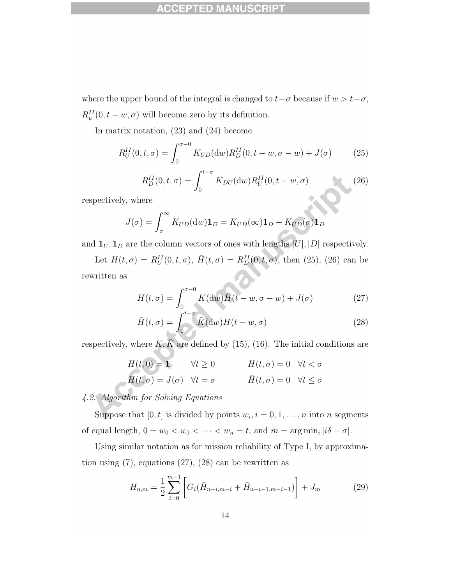where the upper bound of the integral is changed to  $t-\sigma$  because if  $w > t-\sigma$ ,  $R_u^{II}(0,t-w,\sigma)$  will become zero by its definition.

In matrix notation, (23) and (24) become

$$
R_U^{II}(0, t, \sigma) = \int_0^{\sigma - 0} K_{UD}(\mathrm{d}w) R_D^{II}(0, t - w, \sigma - w) + J(\sigma) \tag{25}
$$

$$
R_D^{II}(0,t,\sigma) = \int_0^{t-\sigma} K_{DU}(\mathrm{d}w) R_U^{II}(0,t-w,\sigma) \tag{26}
$$

respectively, where

$$
J(\sigma) = \int_{\sigma}^{\infty} K_{UD}(\mathrm{d}w)\mathbf{1}_D = K_{UD}(\infty)\mathbf{1}_D - K_{UD}(\sigma)\mathbf{1}_D
$$

and  $\mathbf{1}_U, \mathbf{1}_D$  are the column vectors of ones with lengths  $|U|, |D|$  respectively.

Let  $H(t, \sigma) = R_U^{II}(0, t, \sigma)$ ,  $\bar{H}(t, \sigma) = R_D^{II}(0, t, \sigma)$ , then (25), (26) can be rewritten as

$$
H(t,\sigma) = \int_0^{\sigma-0} K(\mathrm{d}w)\bar{H}(t-w,\sigma-w) + J(\sigma) \tag{27}
$$

$$
\bar{H}(t,\sigma) = \int_0^{t-\sigma} \bar{K}(\mathrm{d}w)H(t-w,\sigma) \tag{28}
$$

respectively, where  $K, \overline{K}$  are defined by (15), (16). The initial conditions are

$$
H(t,0) = 1 \qquad \forall t \ge 0 \qquad H(t,\sigma) = 0 \quad \forall t < \sigma
$$
  

$$
H(t,\sigma) = J(\sigma) \quad \forall t = \sigma \qquad \qquad \bar{H}(t,\sigma) = 0 \quad \forall t \le \sigma
$$

# 4.2. Algorithm for Solving Equations

Suppose that  $[0, t]$  is divided by points  $w_i, i = 0, 1, \ldots, n$  into n segments of equal length,  $0 = w_0 < w_1 < \cdots < w_n = t$ , and  $m = \arg \min_i |i\delta - \sigma|$ .

Using similar notation as for mission reliability of Type I, by approximation using  $(7)$ , equations  $(27)$ ,  $(28)$  can be rewritten as

$$
H_{n,m} = \frac{1}{2} \sum_{i=0}^{m-1} \left[ G_i(\bar{H}_{n-i,m-i} + \bar{H}_{n-i-1,m-i-1}) \right] + J_m \tag{29}
$$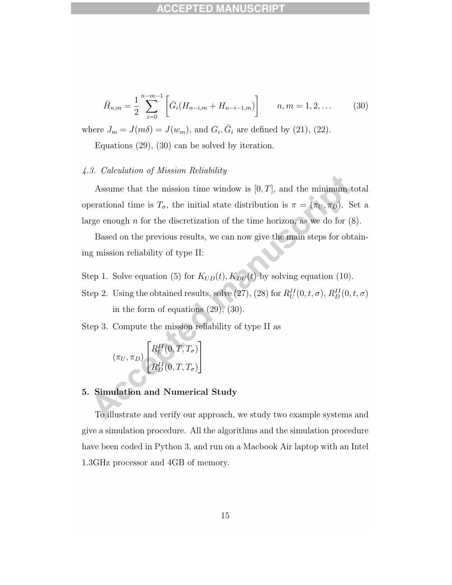#### ED M ece

$$
\bar{H}_{n,m} = \frac{1}{2} \sum_{i=0}^{n-m-1} \left[ \bar{G}_i (H_{n-i,m} + H_{n-i-1,m}) \right] \qquad n, m = 1, 2, \dots \qquad (30)
$$

where  $J_m = J(m\delta) = J(w_m)$ , and  $G_i$ ,  $\bar{G}_i$  are defined by (21), (22).

Equations (29), (30) can be solved by iteration.

### 4.3. Calculation of Mission Reliability

Assume that the mission time window is  $[0, T]$ , and the minimum total operational time is  $T_{\sigma}$ , the initial state distribution is  $\pi = (\pi_U, \pi_D)$ . Set a large enough  $n$  for the discretization of the time horizon, as we do for  $(8)$ .

Based on the previous results, we can now give the main steps for obtaining mission reliability of type II:

- Step 1. Solve equation (5) for  $K_{UD}(t)$ ,  $K_{DU}(t)$  by solving equation (10).
- Step 2. Using the obtained results, solve (27), (28) for  $R_U^{II}(0,t,\sigma)$ ,  $R_D^{II}(0,t,\sigma)$ in the form of equations  $(29)$ ,  $(30)$ .
- Step 3. Compute the mission reliability of type II as

$$
(\pi_U, \pi_D)\begin{bmatrix} R_U^{II}(0,T,T_\sigma) \\[.5em] R_D^{II}(0,T,T_\sigma) \end{bmatrix}
$$

# 5. Simulation and Numerical Study

To illustrate and verify our approach, we study two example systems and give a simulation procedure. All the algorithms and the simulation procedure have been coded in Python 3, and run on a Macbook Air laptop with an Intel 1.3GHz processor and 4GB of memory.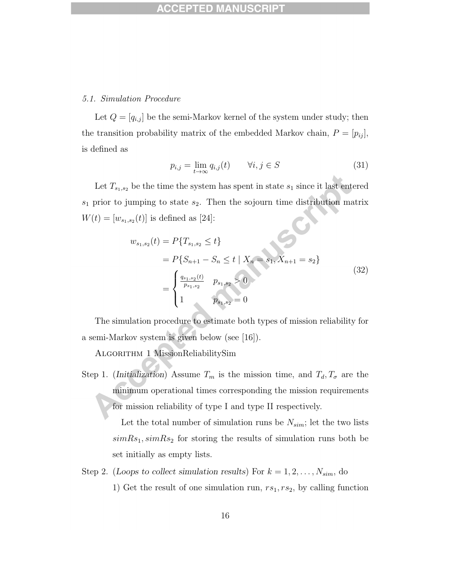### 5.1. Simulation Procedure

Let  $Q = [q_{i,j}]$  be the semi-Markov kernel of the system under study; then the transition probability matrix of the embedded Markov chain,  $P = [p_{ij}]$ , is defined as

$$
p_{i,j} = \lim_{t \to \infty} q_{i,j}(t) \qquad \forall i, j \in S \tag{31}
$$

Let  $T_{s_1,s_2}$  be the time the system has spent in state  $s_1$  since it last entered  $s_1$  prior to jumping to state  $s_2$ . Then the sojourn time distribution matrix  $W(t) = [w_{s_1,s_2}(t)]$  is defined as [24]:

$$
w_{s_1,s_2}(t) = P\{T_{s_1,s_2} \le t\}
$$
  
=  $P\{S_{n+1} - S_n \le t \mid X_n = s_1, X_{n+1} = s_2\}$   
=  $\begin{cases} \frac{q_{s_1,s_2}(t)}{p_{s_1,s_2}} & p_{s_1,s_2} > 0\\ 1 & p_{s_1,s_2} = 0 \end{cases}$  (32)

The simulation procedure to estimate both types of mission reliability for a semi-Markov system is given below (see [16]).

Algorithm 1 MissionReliabilitySim

Step 1. (Initialization) Assume  $T_m$  is the mission time, and  $T_d, T_{\sigma}$  are the minimum operational times corresponding the mission requirements for mission reliability of type I and type II respectively.

> Let the total number of simulation runs be  $N_{sim}$ ; let the two lists  $simRs<sub>1</sub>, simRs<sub>2</sub>$  for storing the results of simulation runs both be set initially as empty lists.

Step 2. (Loops to collect simulation results) For  $k = 1, 2, ..., N_{sim}$ , do 1) Get the result of one simulation run,  $rs_1, rs_2$ , by calling function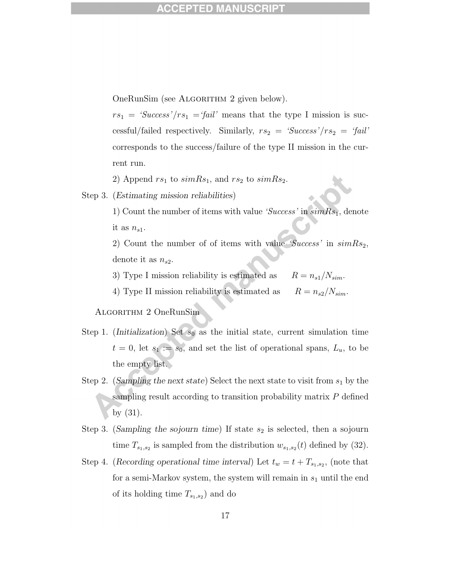OneRunSim (see ALGORITHM 2 given below).

 $rs_1 = 'Success'/rs_1 = 'fail'$  means that the type I mission is successful/failed respectively. Similarly,  $rs_2 = 'Success'/rs_2 = 'fail'$ corresponds to the success/failure of the type II mission in the current run.

2) Append  $rs_1$  to  $simRs_1$ , and  $rs_2$  to  $simRs_2$ .

Step 3. (Estimating mission reliabilities)

1) Count the number of items with value 'Success' in  $\sin Rs_1$ , denote it as  $n_{s1}$ .

2) Count the number of of items with value 'Success' in  $simRs<sub>2</sub>$ , denote it as  $n_{s2}$ .

3) Type I mission reliability is estimated as  $R = n_{s1}/N_{sim}$ .

4) Type II mission reliability is estimated as  $R = n_{s2}/N_{sim}$ .

Algorithm 2 OneRunSim

- Step 1. (Initialization) Set  $s_0$  as the initial state, current simulation time  $t = 0$ , let  $s_1 := s_0$ , and set the list of operational spans,  $L_u$ , to be the empty list.
- Step 2. (Sampling the next state) Select the next state to visit from  $s_1$  by the sampling result according to transition probability matrix P defined by (31).
- Step 3. (Sampling the sojourn time) If state  $s_2$  is selected, then a sojourn time  $T_{s_1,s_2}$  is sampled from the distribution  $w_{s_1,s_2}(t)$  defined by (32).
- Step 4. (Recording operational time interval) Let  $t_w = t + T_{s_1, s_2}$ , (note that for a semi-Markov system, the system will remain in  $s_1$  until the end of its holding time  $T_{s_1,s_2}$  and do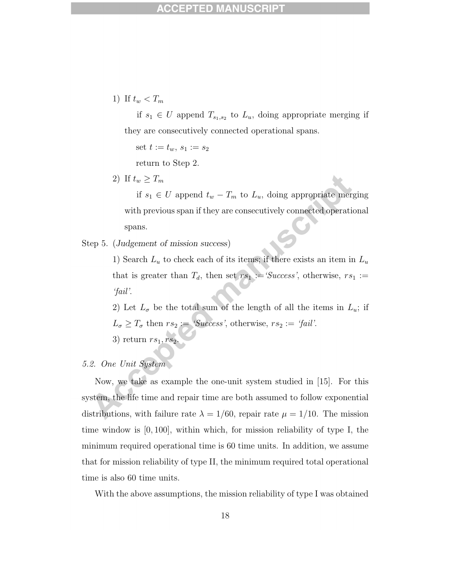1) If  $t_w < T_m$ 

if  $s_1 \in U$  append  $T_{s_1,s_2}$  to  $L_u$ , doing appropriate merging if they are consecutively connected operational spans.

set  $t := t_w, s_1 := s_2$ 

return to Step 2.

2) If  $t_w \geq T_m$ 

if  $s_1$  ∈ U append  $t_w - T_m$  to  $L_u$ , doing appropriate merging with previous span if they are consecutively connected operational spans.

Step 5. (Judgement of mission success)

1) Search  $L_u$  to check each of its items; if there exists an item in  $L_u$ that is greater than  $T_d$ , then set  $rs_1 := 'Success'$ , otherwise,  $rs_1 :=$ 'fail'.

2) Let  $L_{\sigma}$  be the total sum of the length of all the items in  $L_{u}$ ; if  $L_{\sigma} \geq T_{\sigma}$  then  $rs_2 := 'Success'$ , otherwise,  $rs_2 := 'fail'.$ 

3) return  $rs_1, rs_2$ .

# 5.2. One Unit System

Now, we take as example the one-unit system studied in [15]. For this system, the life time and repair time are both assumed to follow exponential distributions, with failure rate  $\lambda = 1/60$ , repair rate  $\mu = 1/10$ . The mission time window is  $[0, 100]$ , within which, for mission reliability of type I, the minimum required operational time is 60 time units. In addition, we assume that for mission reliability of type II, the minimum required total operational time is also 60 time units.

With the above assumptions, the mission reliability of type I was obtained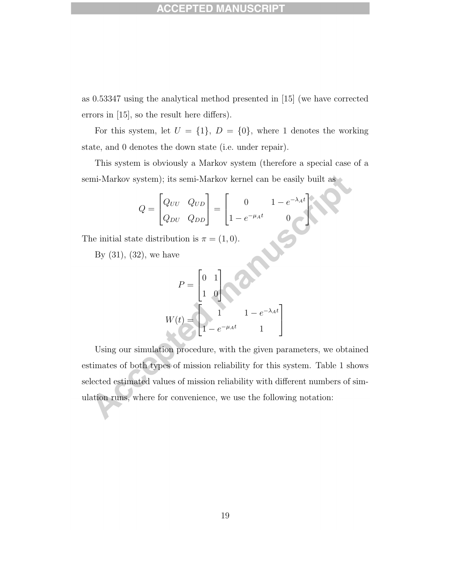as 0.53347 using the analytical method presented in [15] (we have corrected errors in [15], so the result here differs).

For this system, let  $U = \{1\}$ ,  $D = \{0\}$ , where 1 denotes the working state, and 0 denotes the down state (i.e. under repair).

This system is obviously a Markov system (therefore a special case of a semi-Markov system); its semi-Markov kernel can be easily built as

$$
Q = \begin{bmatrix} Q_{UU} & Q_{UD} \\ Q_{DU} & Q_{DD} \end{bmatrix} = \begin{bmatrix} 0 & 1 - e^{-\lambda_A t} \\ 1 - e^{-\mu_A t} & 0 \end{bmatrix}
$$
  
te distribution is  $\pi = (1, 0)$ .  
22), we have

The initial state distribution is  $\pi = (1, 0)$ .

By  $(31)$ ,  $(32)$ , we have

$$
P = \begin{bmatrix} 0 & 1 \\ 1 & 0 \end{bmatrix}
$$
  

$$
W(t) = \begin{bmatrix} 1 & 1 - e^{-\lambda_A t} \\ 1 - e^{-\mu_A t} & 1 \end{bmatrix}
$$

Using our simulation procedure, with the given parameters, we obtained estimates of both types of mission reliability for this system. Table 1 shows selected estimated values of mission reliability with different numbers of simulation runs, where for convenience, we use the following notation: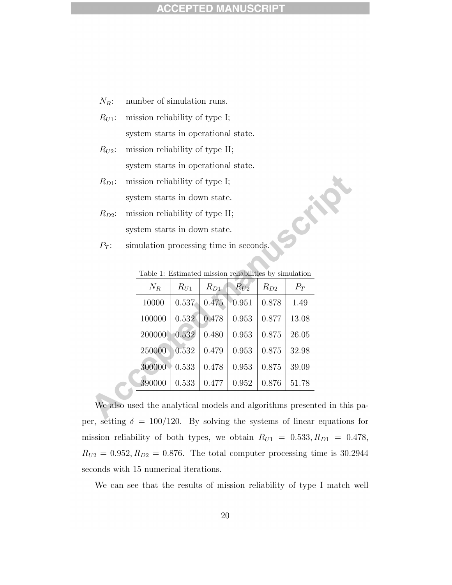#### ED) CCE

- $N_R$ : number of simulation runs.
- $R_{U1}$ : mission reliability of type I; system starts in operational state.
- $R_{U2}$ : mission reliability of type II; system starts in operational state.
- $R_{D1}$ : mission reliability of type I; system starts in down state.
- $R_{D2}$ : mission reliability of type II; system starts in down state.
- $P_T$ : simulation processing time in seconds.

| $N_R$  | $R_{U1}$ | $R_{D1}$ | $R_{U2}$ | $R_{D2}$ | $P_T$ |
|--------|----------|----------|----------|----------|-------|
| 10000  | 0.537    | 0.475    | 0.951    | 0.878    | 1.49  |
| 100000 | 0.532    | 0.478    | 0.953    | 0.877    | 13.08 |
| 200000 | 0.532    | 0.480    | 0.953    | 0.875    | 26.05 |
| 250000 | 0.532    | 0.479    | 0.953    | 0.875    | 32.98 |
| 300000 | 0.533    | 0.478    | 0.953    | 0.875    | 39.09 |
| 390000 | 0.533    | 0.477    | 0.952    | 0.876    | 51.78 |

Table 1: Estimated mission reliabilities by simulation

Crip

We also used the analytical models and algorithms presented in this paper, setting  $\delta = 100/120$ . By solving the systems of linear equations for mission reliability of both types, we obtain  $R_{U1} = 0.533, R_{D1} = 0.478,$  $R_{U2} = 0.952, R_{D2} = 0.876$ . The total computer processing time is 30.2944 seconds with 15 numerical iterations.

We can see that the results of mission reliability of type I match well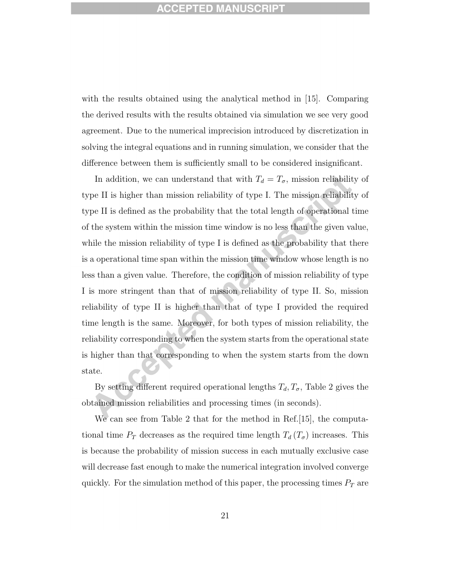with the results obtained using the analytical method in [15]. Comparing the derived results with the results obtained via simulation we see very good agreement. Due to the numerical imprecision introduced by discretization in solving the integral equations and in running simulation, we consider that the difference between them is sufficiently small to be considered insignificant.

In addition, we can understand that with  $T_d = T_{\sigma}$ , mission reliability of type II is higher than mission reliability of type I. The mission reliability of type II is defined as the probability that the total length of operational time of the system within the mission time window is no less than the given value, while the mission reliability of type I is defined as the probability that there is a operational time span within the mission time window whose length is no less than a given value. Therefore, the condition of mission reliability of type I is more stringent than that of mission reliability of type II. So, mission reliability of type II is higher than that of type I provided the required time length is the same. Moreover, for both types of mission reliability, the reliability corresponding to when the system starts from the operational state is higher than that corresponding to when the system starts from the down state.

By setting different required operational lengths  $T_d, T_{\sigma}$ , Table 2 gives the obtained mission reliabilities and processing times (in seconds).

We can see from Table 2 that for the method in Ref. [15], the computational time  $P_T$  decreases as the required time length  $T_d(T_{\sigma})$  increases. This is because the probability of mission success in each mutually exclusive case will decrease fast enough to make the numerical integration involved converge quickly. For the simulation method of this paper, the processing times  $P_T$  are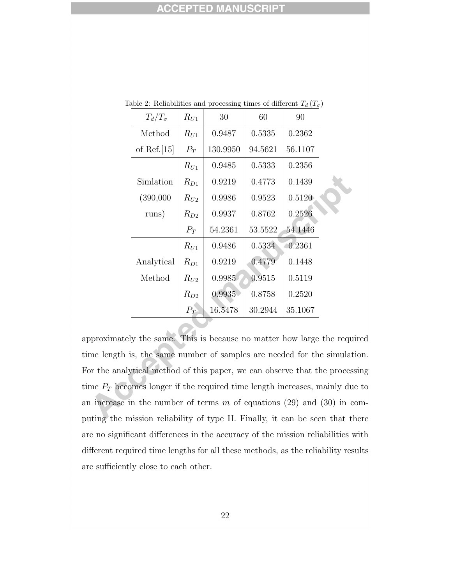| $T_d/T_\sigma$ | $R_{U1}$ | 30       | 60      | 90      |  |
|----------------|----------|----------|---------|---------|--|
| Method         | $R_{U1}$ | 0.9487   | 0.5335  | 0.2362  |  |
| of Ref. $[15]$ | $P_T$    | 130.9950 | 94.5621 | 56.1107 |  |
|                | $R_{U1}$ | 0.9485   | 0.5333  | 0.2356  |  |
| Simlation      | $R_{D1}$ | 0.9219   | 0.4773  | 0.1439  |  |
| (390,000)      | $R_{U2}$ | 0.9986   | 0.9523  | 0.5120  |  |
| runs)          | $R_{D2}$ | 0.9937   | 0.8762  | 0.2526  |  |
|                | $P_T$    | 54.2361  | 53.5522 | 54.1446 |  |
|                | $R_{U1}$ | 0.9486   | 0.5334  | 0.2361  |  |
| Analytical     | $R_{D1}$ | 0.9219   | 0.4779  | 0.1448  |  |
| Method         | $R_{U2}$ | 0.9985   | 0.9515  | 0.5119  |  |
|                | $R_{D2}$ | 0.9935   | 0.8758  | 0.2520  |  |
|                | $P_T$    | 16.5478  | 30.2944 | 35.1067 |  |

Table 2: Reliabilities and processing times of different  $T_d$  ( $T_\sigma$ )

approximately the same. This is because no matter how large the required time length is, the same number of samples are needed for the simulation. For the analytical method of this paper, we can observe that the processing time  $P_T$  becomes longer if the required time length increases, mainly due to an increase in the number of terms  $m$  of equations (29) and (30) in computing the mission reliability of type II. Finally, it can be seen that there are no significant differences in the accuracy of the mission reliabilities with different required time lengths for all these methods, as the reliability results are sufficiently close to each other.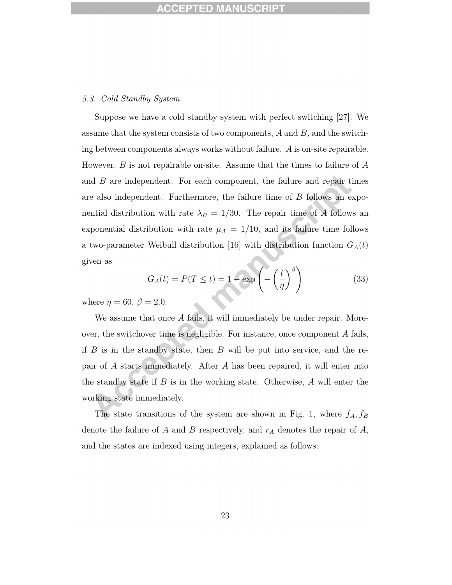### 5.3. Cold Standby System

Suppose we have a cold standby system with perfect switching [27]. We assume that the system consists of two components,  $A$  and  $B$ , and the switching between components always works without failure. A is on-site repairable. However,  $B$  is not repairable on-site. Assume that the times to failure of  $A$ and B are independent. For each component, the failure and repair times are also independent. Furthermore, the failure time of B follows an exponential distribution with rate  $\lambda_B = 1/30$ . The repair time of A follows an exponential distribution with rate  $\mu_A = 1/10$ , and its failure time follows a two-parameter Weibull distribution [16] with distribution function  $G_A(t)$ given as

$$
G_A(t) = P(T \le t) = 1 - \exp\left(-\left(\frac{t}{\eta}\right)^{\beta}\right)
$$
(33)

where  $\eta = 60, \beta = 2.0$ .

We assume that once A fails, it will immediately be under repair. Moreover, the switchover time is negligible. For instance, once component A fails, if  $B$  is in the standby state, then  $B$  will be put into service, and the repair of A starts immediately. After A has been repaired, it will enter into the standby state if  $B$  is in the working state. Otherwise,  $A$  will enter the working state immediately.

The state transitions of the system are shown in Fig. 1, where  $f_A, f_B$ denote the failure of A and B respectively, and  $r_A$  denotes the repair of A, and the states are indexed using integers, explained as follows: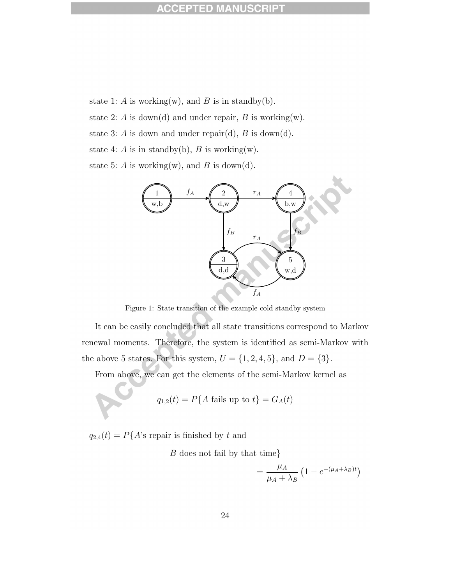state 1: A is working(w), and B is in standby(b).

state 2: A is down(d) and under repair, B is working(w).

state 3: A is down and under repair(d), B is down(d).

state 4: A is in standby(b), B is working(w).

state 5: A is working(w), and B is down(d).



Figure 1: State transition of the example cold standby system

It can be easily concluded that all state transitions correspond to Markov renewal moments. Therefore, the system is identified as semi-Markov with the above 5 states. For this system,  $U = \{1, 2, 4, 5\}$ , and  $D = \{3\}$ .

From above, we can get the elements of the semi-Markov kernel as

$$
q_{1,2}(t) = P\{A \text{ fails up to } t\} = G_A(t)
$$

 $q_{2,4}(t) = P\{A\ensuremath{^\circ} \text{s}$  repair is finished by  $t$  and

B does not fail by that time}

$$
= \frac{\mu_A}{\mu_A + \lambda_B} \left( 1 - e^{-(\mu_A + \lambda_B)t} \right)
$$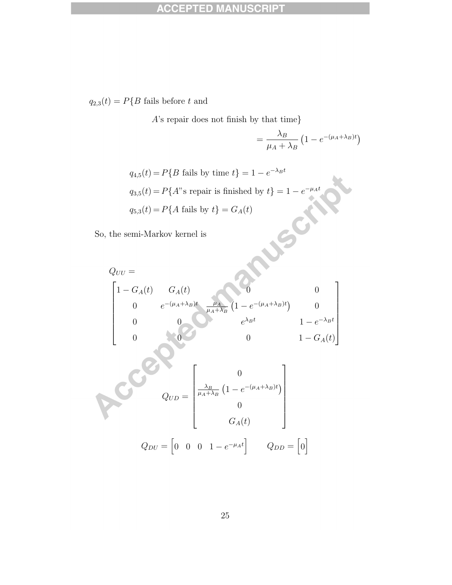$q_{2,3}(t)=P\{B \text{ fails before } t \text{ and }$ 

A's repair does not finish by that time}

$$
= \frac{\lambda_B}{\mu_A + \lambda_B} \left( 1 - e^{-(\mu_A + \lambda_B)t} \right)
$$

$$
q_{4,5}(t) = P\{B \text{ fails by time } t\} = 1 - e^{-\lambda_B t}
$$
  

$$
q_{3,5}(t) = P\{A \text{ is repair in the final value is } t\} = 1 - e^{-\mu_A t}
$$
  

$$
q_{5,3}(t) = P\{A \text{ fails by } t\} = G_A(t)
$$

So, the semi-Markov kernel is

$$
q_{5,3}(t) = P\{A \text{ fails by } t\} = G_A(t)
$$
\n, the semi-Markov kernel is

\n
$$
Q_{UU} = \begin{bmatrix}\n1 - G_A(t) & G_A(t) & & & & \\
0 & e^{-(\mu_A + \lambda_B)t} & \frac{\mu_A}{\mu_A + \lambda_B} \left(1 - e^{-(\mu_A + \lambda_B)t}\right) & 0 \\
0 & 0 & e^{\lambda_B t} & 1 - e^{-\lambda_B t} \\
0 & 0 & 1 - G_A(t)\n\end{bmatrix}
$$

$$
Q_{UD} = \begin{bmatrix} 0 \\ \frac{\lambda_B}{\mu_A + \lambda_B} (1 - e^{-(\mu_A + \lambda_B)t}) \\ 0 \\ G_A(t) \end{bmatrix}
$$

$$
Q_{DU} = \begin{bmatrix} 0 & 0 & 0 & 1 - e^{-\mu_A t} \end{bmatrix} \qquad Q_{DD} = \begin{bmatrix} 0 \end{bmatrix}
$$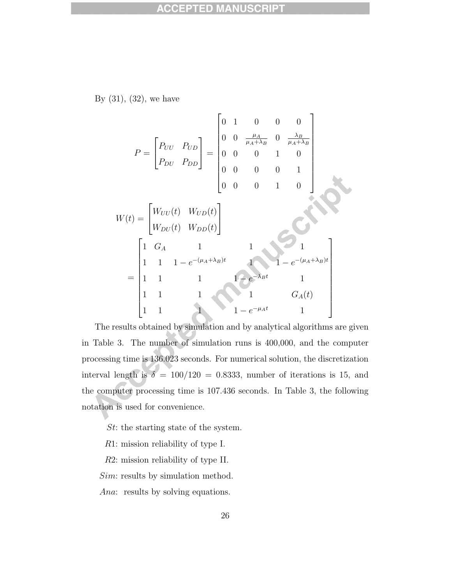By (31), (32), we have

$$
P = \begin{bmatrix} P_{UU} & P_{UD} \\ P_{DU} & P_{DD} \end{bmatrix} = \begin{bmatrix} 0 & 1 & 0 & 0 & 0 \\ 0 & 0 & \frac{\mu_A}{\mu_A + \lambda_B} & 0 & \frac{\lambda_B}{\mu_A + \lambda_B} \\ 0 & 0 & 0 & 1 & 0 \\ 0 & 0 & 0 & 0 & 1 \\ 0 & 0 & 0 & 1 & 0 \end{bmatrix}
$$
  
\n
$$
W(t) = \begin{bmatrix} W_{UU}(t) & W_{UD}(t) \\ W_{DU}(t) & W_{DD}(t) \end{bmatrix}
$$
  
\n
$$
= \begin{bmatrix} 1 & G_A & 1 & 1 & 1 \\ 1 & 1 & 1 & -e^{-(\mu_A + \lambda_B)t} & 1 & -e^{-(\mu_A + \lambda_B)t} \\ 1 & 1 & 1 & 1 & G_A(t) \\ 1 & 1 & 1 & 1 & G_A(t) \\ 1 & 1 & 1 & 1 & -e^{-\mu_A t} & 1 \end{bmatrix}
$$

The results obtained by simulation and by analytical algorithms are given in Table 3. The number of simulation runs is 400,000, and the computer processing time is 136.023 seconds. For numerical solution, the discretization interval length is  $\delta = 100/120 = 0.8333$ , number of iterations is 15, and the computer processing time is 107.436 seconds. In Table 3, the following notation is used for convenience.

St: the starting state of the system.

R1: mission reliability of type I.

R2: mission reliability of type II.

Sim: results by simulation method.

Ana: results by solving equations.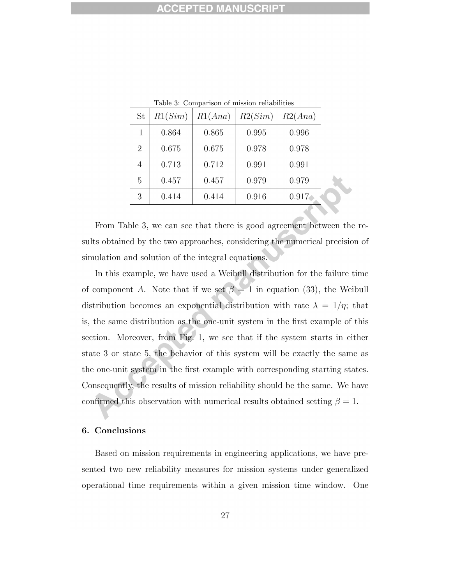| St             | R1(Sim) | R1(Ana) | R2(Sim) | R2(Ana) |  |  |
|----------------|---------|---------|---------|---------|--|--|
| 1              | 0.864   | 0.865   | 0.995   | 0.996   |  |  |
| $\overline{2}$ | 0.675   | 0.675   | 0.978   | 0.978   |  |  |
| 4              | 0.713   | 0.712   | 0.991   | 0.991   |  |  |
| 5              | 0.457   | 0.457   | 0.979   | 0.979   |  |  |
| 3              | 0.414   | 0.414   | 0.916   | 0.917   |  |  |

Table 3: Comparison of mission reliabilities

From Table 3, we can see that there is good agreement between the results obtained by the two approaches, considering the numerical precision of simulation and solution of the integral equations.

In this example, we have used a Weibull distribution for the failure time of component A. Note that if we set  $\beta = 1$  in equation (33), the Weibull distribution becomes an exponential distribution with rate  $\lambda = 1/\eta$ ; that is, the same distribution as the one-unit system in the first example of this section. Moreover, from Fig. 1, we see that if the system starts in either state 3 or state 5, the behavior of this system will be exactly the same as the one-unit system in the first example with corresponding starting states. Consequently, the results of mission reliability should be the same. We have confirmed this observation with numerical results obtained setting  $\beta = 1$ .

### 6. Conclusions

Based on mission requirements in engineering applications, we have presented two new reliability measures for mission systems under generalized operational time requirements within a given mission time window. One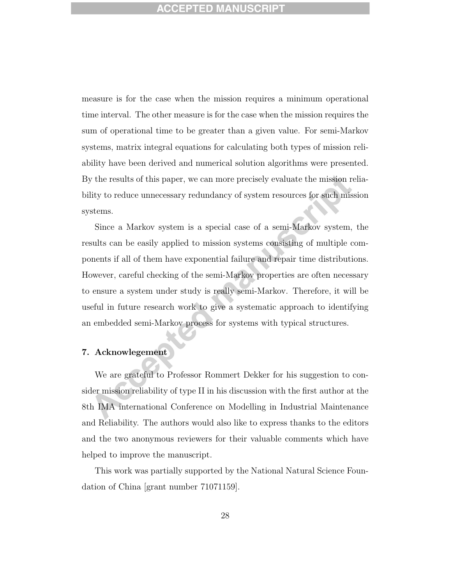measure is for the case when the mission requires a minimum operational time interval. The other measure is for the case when the mission requires the sum of operational time to be greater than a given value. For semi-Markov systems, matrix integral equations for calculating both types of mission reliability have been derived and numerical solution algorithms were presented. By the results of this paper, we can more precisely evaluate the mission reliability to reduce unnecessary redundancy of system resources for such mission systems.

Since a Markov system is a special case of a semi-Markov system, the results can be easily applied to mission systems consisting of multiple components if all of them have exponential failure and repair time distributions. However, careful checking of the semi-Markov properties are often necessary to ensure a system under study is really semi-Markov. Therefore, it will be useful in future research work to give a systematic approach to identifying an embedded semi-Markov process for systems with typical structures.

### 7. Acknowlegement

We are grateful to Professor Rommert Dekker for his suggestion to consider mission reliability of type II in his discussion with the first author at the 8th IMA international Conference on Modelling in Industrial Maintenance and Reliability. The authors would also like to express thanks to the editors and the two anonymous reviewers for their valuable comments which have helped to improve the manuscript.

This work was partially supported by the National Natural Science Foundation of China [grant number 71071159].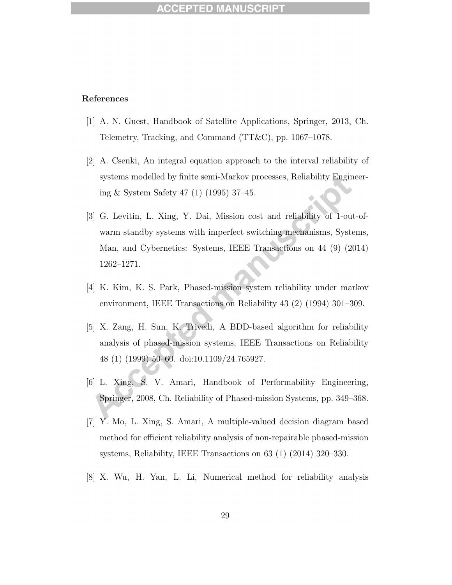### References

- [1] A. N. Guest, Handbook of Satellite Applications, Springer, 2013, Ch. Telemetry, Tracking, and Command (TT&C), pp. 1067–1078.
- [2] A. Csenki, An integral equation approach to the interval reliability of systems modelled by finite semi-Markov processes, Reliability Engineering & System Safety 47 (1) (1995) 37–45.
- [3] G. Levitin, L. Xing, Y. Dai, Mission cost and reliability of 1-out-ofwarm standby systems with imperfect switching mechanisms, Systems, Man, and Cybernetics: Systems, IEEE Transactions on 44 (9) (2014) 1262–1271.
- [4] K. Kim, K. S. Park, Phased-mission system reliability under markov environment, IEEE Transactions on Reliability 43 (2) (1994) 301–309.
- [5] X. Zang, H. Sun, K. Trivedi, A BDD-based algorithm for reliability analysis of phased-mission systems, IEEE Transactions on Reliability 48 (1) (1999) 50–60. doi:10.1109/24.765927.
- [6] L. Xing, S. V. Amari, Handbook of Performability Engineering, Springer, 2008, Ch. Reliability of Phased-mission Systems, pp. 349–368.
- [7] Y. Mo, L. Xing, S. Amari, A multiple-valued decision diagram based method for efficient reliability analysis of non-repairable phased-mission systems, Reliability, IEEE Transactions on 63 (1) (2014) 320–330.
- [8] X. Wu, H. Yan, L. Li, Numerical method for reliability analysis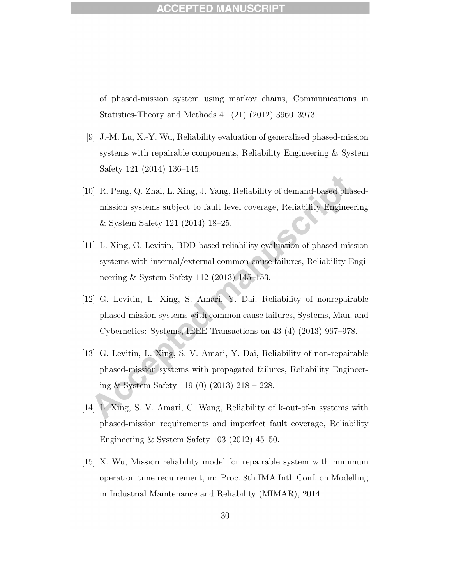### ACCEPTED MA

of phased-mission system using markov chains, Communications in Statistics-Theory and Methods 41 (21) (2012) 3960–3973.

- [9] J.-M. Lu, X.-Y. Wu, Reliability evaluation of generalized phased-mission systems with repairable components, Reliability Engineering & System Safety 121 (2014) 136–145.
- [10] R. Peng, Q. Zhai, L. Xing, J. Yang, Reliability of demand-based phasedmission systems subject to fault level coverage, Reliability Engineering & System Safety 121 (2014) 18–25.
- [11] L. Xing, G. Levitin, BDD-based reliability evaluation of phased-mission systems with internal/external common-cause failures, Reliability Engineering & System Safety 112 (2013) 145–153.
- [12] G. Levitin, L. Xing, S. Amari, Y. Dai, Reliability of nonrepairable phased-mission systems with common cause failures, Systems, Man, and Cybernetics: Systems, IEEE Transactions on 43 (4) (2013) 967–978.
- [13] G. Levitin, L. Xing, S. V. Amari, Y. Dai, Reliability of non-repairable phased-mission systems with propagated failures, Reliability Engineering & System Safety 119 (0) (2013) 218 – 228.
- [14] L. Xing, S. V. Amari, C. Wang, Reliability of k-out-of-n systems with phased-mission requirements and imperfect fault coverage, Reliability Engineering & System Safety 103 (2012) 45–50.
- [15] X. Wu, Mission reliability model for repairable system with minimum operation time requirement, in: Proc. 8th IMA Intl. Conf. on Modelling in Industrial Maintenance and Reliability (MIMAR), 2014.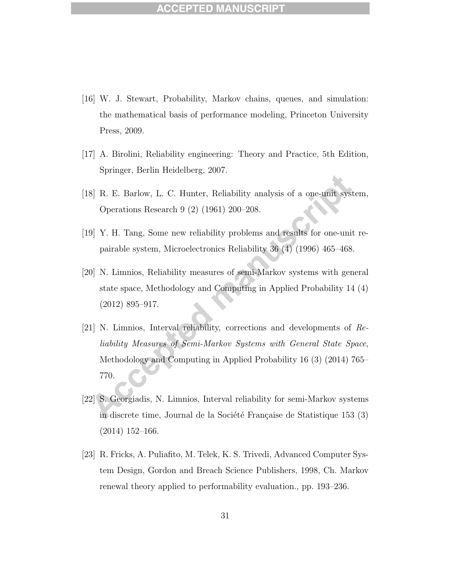## **ACCEPTED M**

- [16] W. J. Stewart, Probability, Markov chains, queues, and simulation: the mathematical basis of performance modeling, Princeton University Press, 2009.
- [17] A. Birolini, Reliability engineering: Theory and Practice, 5th Edition, Springer, Berlin Heidelberg, 2007.
- [18] R. E. Barlow, L. C. Hunter, Reliability analysis of a one-unit system, Operations Research 9 (2) (1961) 200–208.
- [19] Y. H. Tang, Some new reliability problems and results for one-unit repairable system, Microelectronics Reliability 36 (4) (1996) 465–468.
- [20] N. Limnios, Reliability measures of semi-Markov systems with general state space, Methodology and Computing in Applied Probability 14 (4) (2012) 895–917.
- [21] N. Limnios, Interval reliability, corrections and developments of Reliability Measures of Semi-Markov Systems with General State Space, Methodology and Computing in Applied Probability 16 (3) (2014) 765– 770.
- [22] S. Georgiadis, N. Limnios, Interval reliability for semi-Markov systems in discrete time, Journal de la Société Française de Statistique 153 (3) (2014) 152–166.
- [23] R. Fricks, A. Puliafito, M. Telek, K. S. Trivedi, Advanced Computer System Design, Gordon and Breach Science Publishers, 1998, Ch. Markov renewal theory applied to performability evaluation., pp. 193–236.